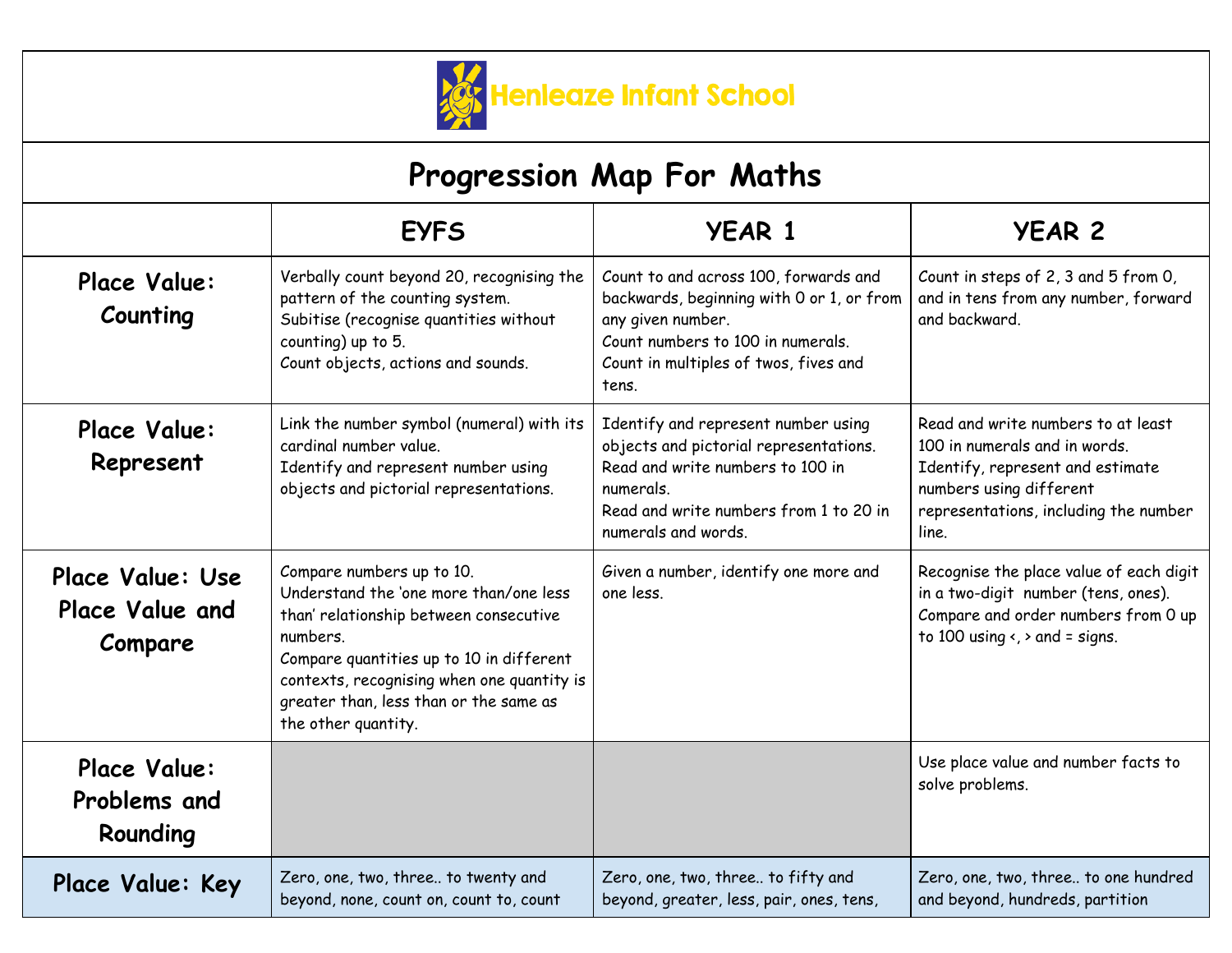

| Progression Map For Maths                      |                                                                                                                                                                                                                                                                                      |                                                                                                                                                                                                 |                                                                                                                                                                                      |
|------------------------------------------------|--------------------------------------------------------------------------------------------------------------------------------------------------------------------------------------------------------------------------------------------------------------------------------------|-------------------------------------------------------------------------------------------------------------------------------------------------------------------------------------------------|--------------------------------------------------------------------------------------------------------------------------------------------------------------------------------------|
|                                                | <b>EYFS</b>                                                                                                                                                                                                                                                                          | <b>YEAR 1</b>                                                                                                                                                                                   | <b>YEAR 2</b>                                                                                                                                                                        |
| Place Value:<br>Counting                       | Verbally count beyond 20, recognising the<br>pattern of the counting system.<br>Subitise (recognise quantities without<br>counting) up to 5.<br>Count objects, actions and sounds.                                                                                                   | Count to and across 100, forwards and<br>backwards, beginning with 0 or 1, or from<br>any given number.<br>Count numbers to 100 in numerals.<br>Count in multiples of twos, fives and<br>tens.  | Count in steps of 2, 3 and 5 from 0,<br>and in tens from any number, forward<br>and backward.                                                                                        |
| Place Value:<br>Represent                      | Link the number symbol (numeral) with its<br>cardinal number value.<br>Identify and represent number using<br>objects and pictorial representations.                                                                                                                                 | Identify and represent number using<br>objects and pictorial representations.<br>Read and write numbers to 100 in<br>numerals.<br>Read and write numbers from 1 to 20 in<br>numerals and words. | Read and write numbers to at least<br>100 in numerals and in words.<br>Identify, represent and estimate<br>numbers using different<br>representations, including the number<br>line. |
| Place Value: Use<br>Place Value and<br>Compare | Compare numbers up to 10.<br>Understand the 'one more than/one less<br>than' relationship between consecutive<br>numbers.<br>Compare quantities up to 10 in different<br>contexts, recognising when one quantity is<br>greater than, less than or the same as<br>the other quantity. | Given a number, identify one more and<br>one less.                                                                                                                                              | Recognise the place value of each digit<br>in a two-digit number (tens, ones).<br>Compare and order numbers from 0 up<br>to 100 using $\left\langle \right\rangle$ and = signs.      |
| Place Value:<br>Problems and<br>Rounding       |                                                                                                                                                                                                                                                                                      |                                                                                                                                                                                                 | Use place value and number facts to<br>solve problems.                                                                                                                               |
| Place Value: Key                               | Zero, one, two, three to twenty and<br>beyond, none, count on, count to, count                                                                                                                                                                                                       | Zero, one, two, three to fifty and<br>beyond, greater, less, pair, ones, tens,                                                                                                                  | Zero, one, two, three to one hundred<br>and beyond, hundreds, partition                                                                                                              |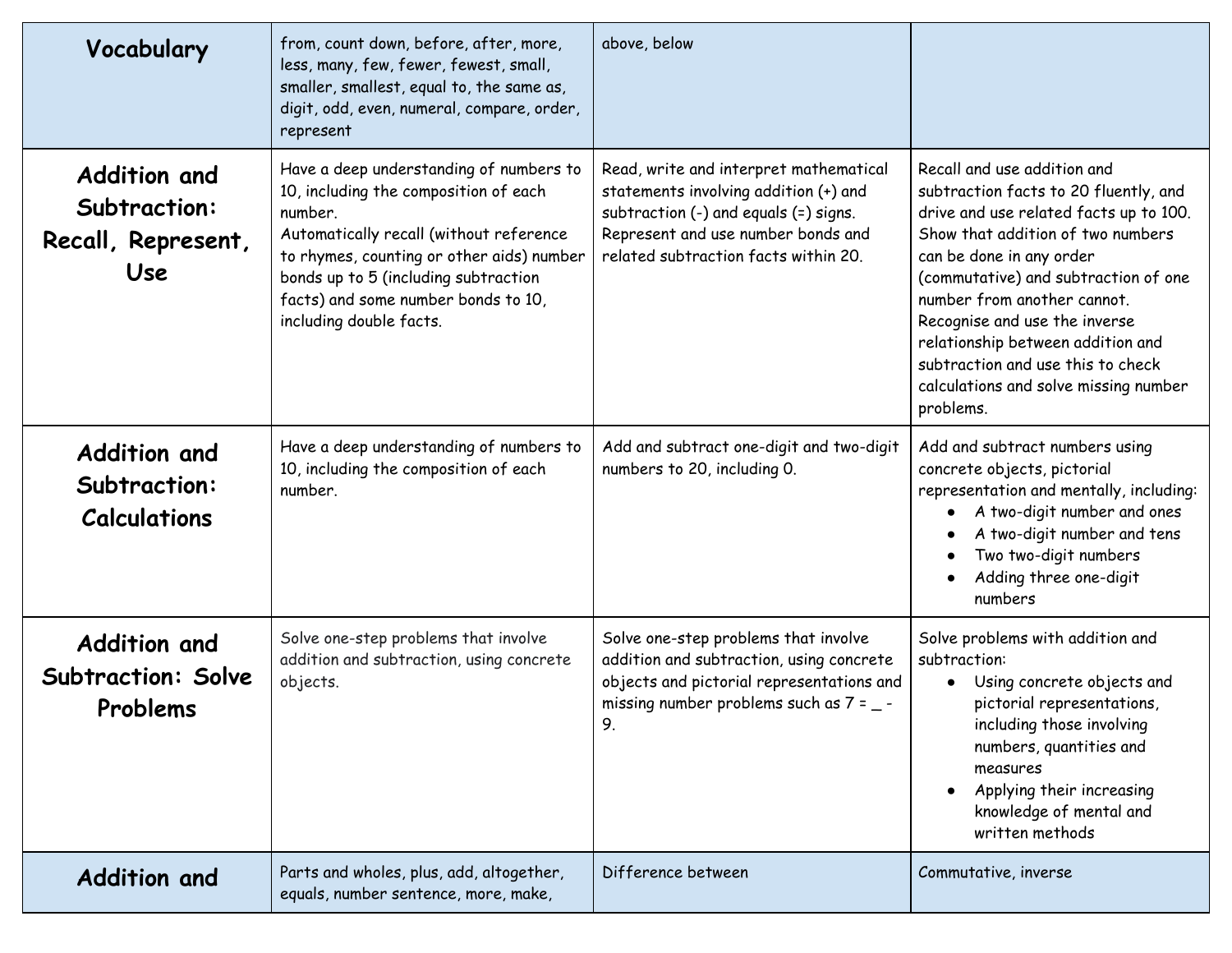| Vocabulary                                                       | from, count down, before, after, more,<br>less, many, few, fewer, fewest, small,<br>smaller, smallest, equal to, the same as,<br>digit, odd, even, numeral, compare, order,<br>represent                                                                                                      | above, below                                                                                                                                                                                           |                                                                                                                                                                                                                                                                                                                                                                                                                         |
|------------------------------------------------------------------|-----------------------------------------------------------------------------------------------------------------------------------------------------------------------------------------------------------------------------------------------------------------------------------------------|--------------------------------------------------------------------------------------------------------------------------------------------------------------------------------------------------------|-------------------------------------------------------------------------------------------------------------------------------------------------------------------------------------------------------------------------------------------------------------------------------------------------------------------------------------------------------------------------------------------------------------------------|
| <b>Addition and</b><br>Subtraction:<br>Recall, Represent,<br>Use | Have a deep understanding of numbers to<br>10, including the composition of each<br>number.<br>Automatically recall (without reference<br>to rhymes, counting or other aids) number<br>bonds up to 5 (including subtraction<br>facts) and some number bonds to 10,<br>including double facts. | Read, write and interpret mathematical<br>statements involving addition (+) and<br>subtraction (-) and equals (=) signs.<br>Represent and use number bonds and<br>related subtraction facts within 20. | Recall and use addition and<br>subtraction facts to 20 fluently, and<br>drive and use related facts up to 100.<br>Show that addition of two numbers<br>can be done in any order<br>(commutative) and subtraction of one<br>number from another cannot.<br>Recognise and use the inverse<br>relationship between addition and<br>subtraction and use this to check<br>calculations and solve missing number<br>problems. |
| <b>Addition and</b><br>Subtraction:<br><b>Calculations</b>       | Have a deep understanding of numbers to<br>10, including the composition of each<br>number.                                                                                                                                                                                                   | Add and subtract one-digit and two-digit<br>numbers to 20, including 0.                                                                                                                                | Add and subtract numbers using<br>concrete objects, pictorial<br>representation and mentally, including:<br>A two-digit number and ones<br>A two-digit number and tens<br>Two two-digit numbers<br>Adding three one-digit<br>numbers                                                                                                                                                                                    |
| <b>Addition and</b><br><b>Subtraction: Solve</b><br>Problems     | Solve one-step problems that involve<br>addition and subtraction, using concrete<br>objects.                                                                                                                                                                                                  | Solve one-step problems that involve<br>addition and subtraction, using concrete<br>objects and pictorial representations and<br>missing number problems such as $7 = -$<br>9.                         | Solve problems with addition and<br>subtraction:<br>Using concrete objects and<br>$\bullet$<br>pictorial representations,<br>including those involving<br>numbers, quantities and<br>measures<br>Applying their increasing<br>knowledge of mental and<br>written methods                                                                                                                                                |
| <b>Addition and</b>                                              | Parts and wholes, plus, add, altogether,<br>equals, number sentence, more, make,                                                                                                                                                                                                              | Difference between                                                                                                                                                                                     | Commutative, inverse                                                                                                                                                                                                                                                                                                                                                                                                    |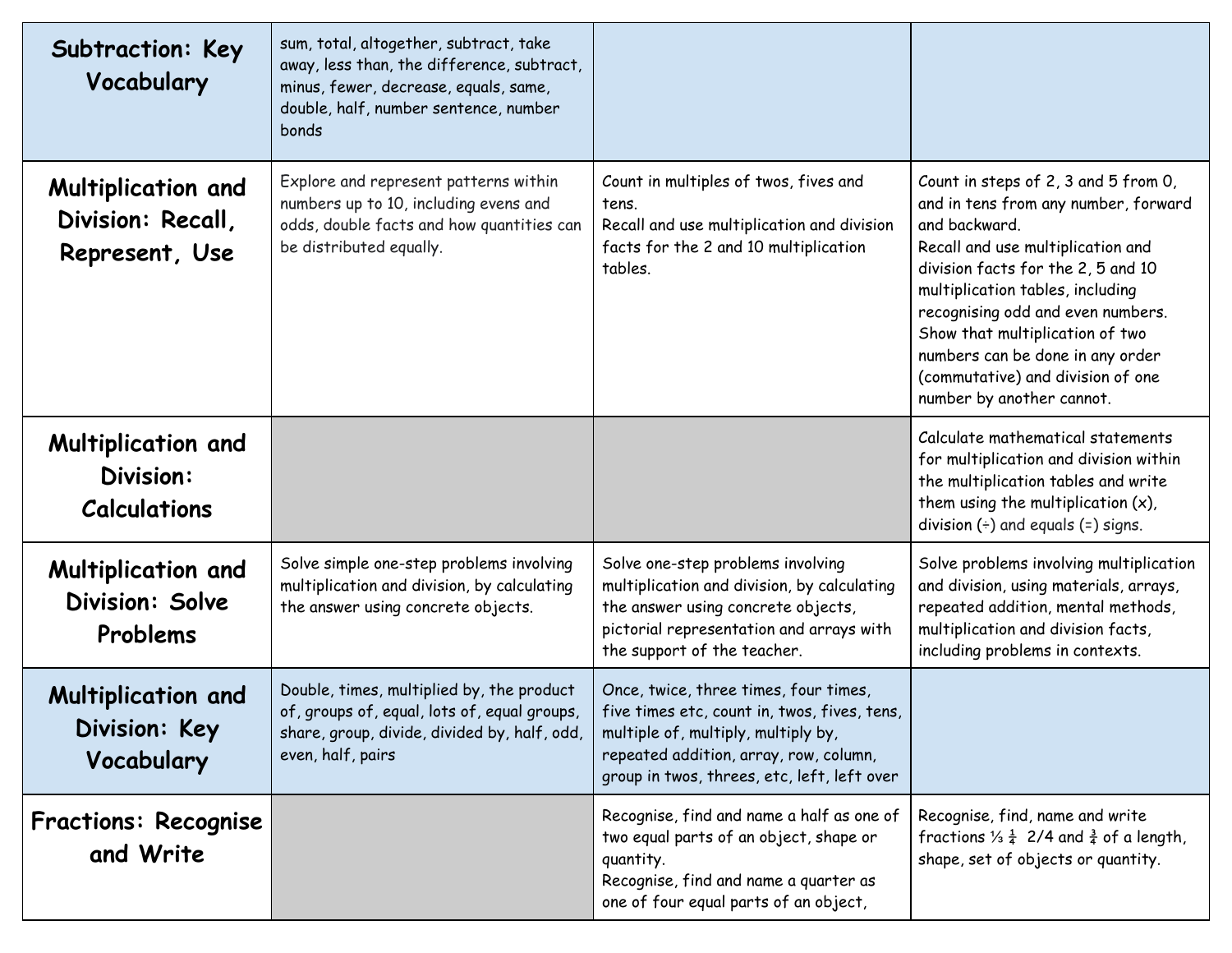| Subtraction: Key<br>Vocabulary                                | sum, total, altogether, subtract, take<br>away, less than, the difference, subtract,<br>minus, fewer, decrease, equals, same,<br>double, half, number sentence, number<br>bonds |                                                                                                                                                                                                                       |                                                                                                                                                                                                                                                                                                                                                                                            |
|---------------------------------------------------------------|---------------------------------------------------------------------------------------------------------------------------------------------------------------------------------|-----------------------------------------------------------------------------------------------------------------------------------------------------------------------------------------------------------------------|--------------------------------------------------------------------------------------------------------------------------------------------------------------------------------------------------------------------------------------------------------------------------------------------------------------------------------------------------------------------------------------------|
| Multiplication and<br>Division: Recall,<br>Represent, Use     | Explore and represent patterns within<br>numbers up to 10, including evens and<br>odds, double facts and how quantities can<br>be distributed equally.                          | Count in multiples of twos, fives and<br>tens.<br>Recall and use multiplication and division<br>facts for the 2 and 10 multiplication<br>tables.                                                                      | Count in steps of 2, 3 and 5 from 0,<br>and in tens from any number, forward<br>and backward.<br>Recall and use multiplication and<br>division facts for the 2, 5 and 10<br>multiplication tables, including<br>recognising odd and even numbers.<br>Show that multiplication of two<br>numbers can be done in any order<br>(commutative) and division of one<br>number by another cannot. |
| <b>Multiplication and</b><br>Division:<br><b>Calculations</b> |                                                                                                                                                                                 |                                                                                                                                                                                                                       | Calculate mathematical statements<br>for multiplication and division within<br>the multiplication tables and write<br>them using the multiplication $(x)$ ,<br>division $(\div)$ and equals $(=)$ signs.                                                                                                                                                                                   |
| <b>Multiplication and</b><br>Division: Solve<br>Problems      | Solve simple one-step problems involving<br>multiplication and division, by calculating<br>the answer using concrete objects.                                                   | Solve one-step problems involving<br>multiplication and division, by calculating<br>the answer using concrete objects,<br>pictorial representation and arrays with<br>the support of the teacher.                     | Solve problems involving multiplication<br>and division, using materials, arrays,<br>repeated addition, mental methods,<br>multiplication and division facts,<br>including problems in contexts.                                                                                                                                                                                           |
| <b>Multiplication and</b><br>Division: Key<br>Vocabulary      | Double, times, multiplied by, the product<br>of, groups of, equal, lots of, equal groups,<br>share, group, divide, divided by, half, odd,<br>even, half, pairs                  | Once, twice, three times, four times,<br>five times etc, count in, twos, fives, tens,<br>multiple of, multiply, multiply by,<br>repeated addition, array, row, column,<br>group in twos, threes, etc, left, left over |                                                                                                                                                                                                                                                                                                                                                                                            |
| <b>Fractions: Recognise</b><br>and Write                      |                                                                                                                                                                                 | Recognise, find and name a half as one of<br>two equal parts of an object, shape or<br>quantity.<br>Recognise, find and name a quarter as<br>one of four equal parts of an object,                                    | Recognise, find, name and write<br>fractions $\frac{1}{4}$ 2/4 and $\frac{3}{4}$ of a length,<br>shape, set of objects or quantity.                                                                                                                                                                                                                                                        |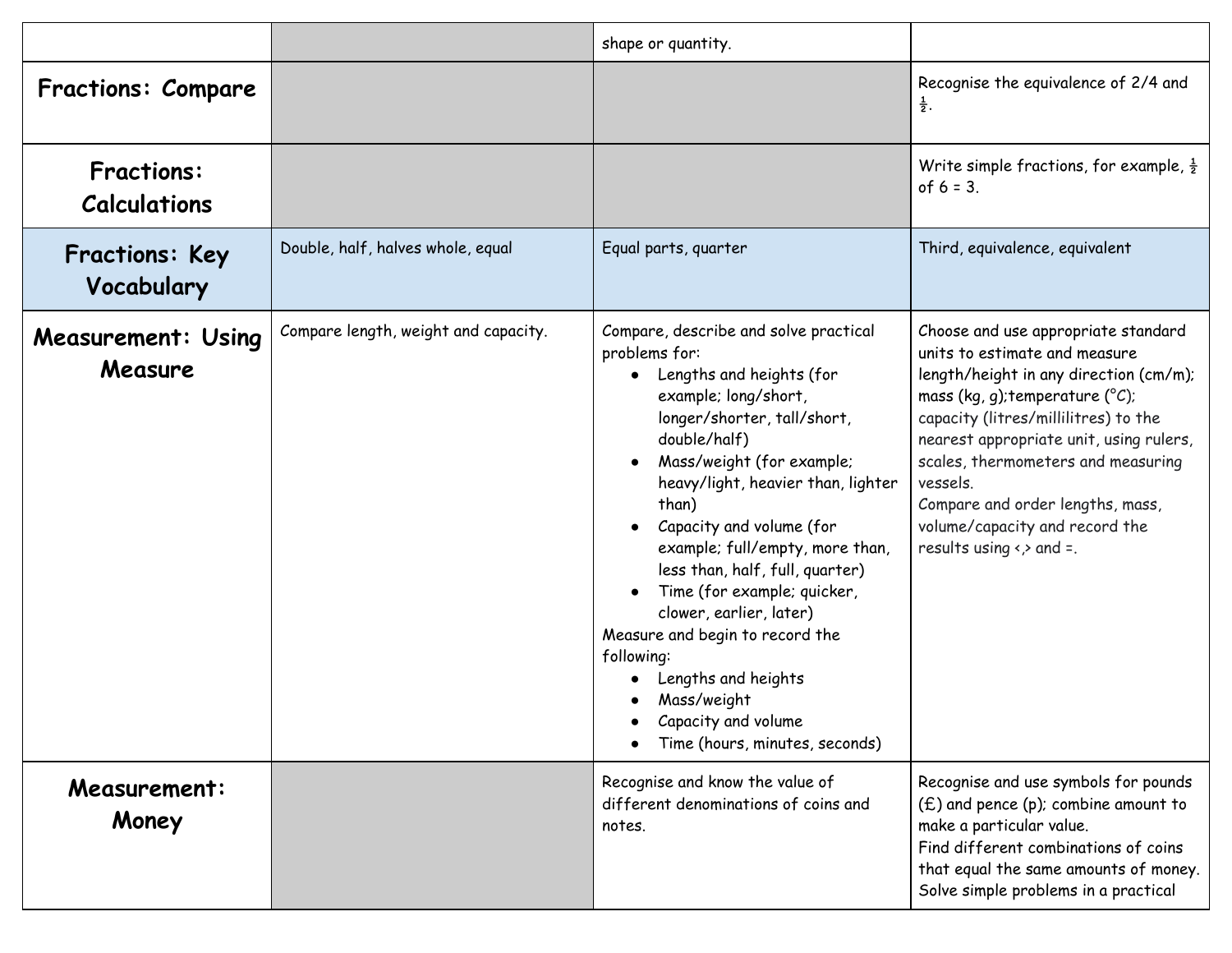|                                          |                                      | shape or quantity.                                                                                                                                                                                                                                                                                                                                                                                                                                                                                                                                |                                                                                                                                                                                                                                                                                                                                                                                                                   |
|------------------------------------------|--------------------------------------|---------------------------------------------------------------------------------------------------------------------------------------------------------------------------------------------------------------------------------------------------------------------------------------------------------------------------------------------------------------------------------------------------------------------------------------------------------------------------------------------------------------------------------------------------|-------------------------------------------------------------------------------------------------------------------------------------------------------------------------------------------------------------------------------------------------------------------------------------------------------------------------------------------------------------------------------------------------------------------|
| <b>Fractions: Compare</b>                |                                      |                                                                                                                                                                                                                                                                                                                                                                                                                                                                                                                                                   | Recognise the equivalence of 2/4 and<br>$\frac{1}{2}$ .                                                                                                                                                                                                                                                                                                                                                           |
| <b>Fractions:</b><br><b>Calculations</b> |                                      |                                                                                                                                                                                                                                                                                                                                                                                                                                                                                                                                                   | Write simple fractions, for example, $\frac{1}{2}$<br>of $6 = 3$ .                                                                                                                                                                                                                                                                                                                                                |
| <b>Fractions: Key</b><br>Vocabulary      | Double, half, halves whole, equal    | Equal parts, quarter                                                                                                                                                                                                                                                                                                                                                                                                                                                                                                                              | Third, equivalence, equivalent                                                                                                                                                                                                                                                                                                                                                                                    |
| <b>Measurement: Using</b><br>Measure     | Compare length, weight and capacity. | Compare, describe and solve practical<br>problems for:<br>Lengths and heights (for<br>example; long/short,<br>longer/shorter, tall/short,<br>double/half)<br>Mass/weight (for example;<br>heavy/light, heavier than, lighter<br>than)<br>Capacity and volume (for<br>example; full/empty, more than,<br>less than, half, full, quarter)<br>Time (for example; quicker,<br>clower, earlier, later)<br>Measure and begin to record the<br>following:<br>Lengths and heights<br>Mass/weight<br>Capacity and volume<br>Time (hours, minutes, seconds) | Choose and use appropriate standard<br>units to estimate and measure<br>length/height in any direction (cm/m);<br>mass (kg, g); temperature ( $^{\circ}C$ );<br>capacity (litres/millilitres) to the<br>nearest appropriate unit, using rulers,<br>scales, thermometers and measuring<br>vessels.<br>Compare and order lengths, mass,<br>volume/capacity and record the<br>results using $\leftrightarrow$ and =. |
| <b>Measurement:</b><br>Money             |                                      | Recognise and know the value of<br>different denominations of coins and<br>notes.                                                                                                                                                                                                                                                                                                                                                                                                                                                                 | Recognise and use symbols for pounds<br>(£) and pence (p); combine amount to<br>make a particular value.<br>Find different combinations of coins<br>that equal the same amounts of money.<br>Solve simple problems in a practical                                                                                                                                                                                 |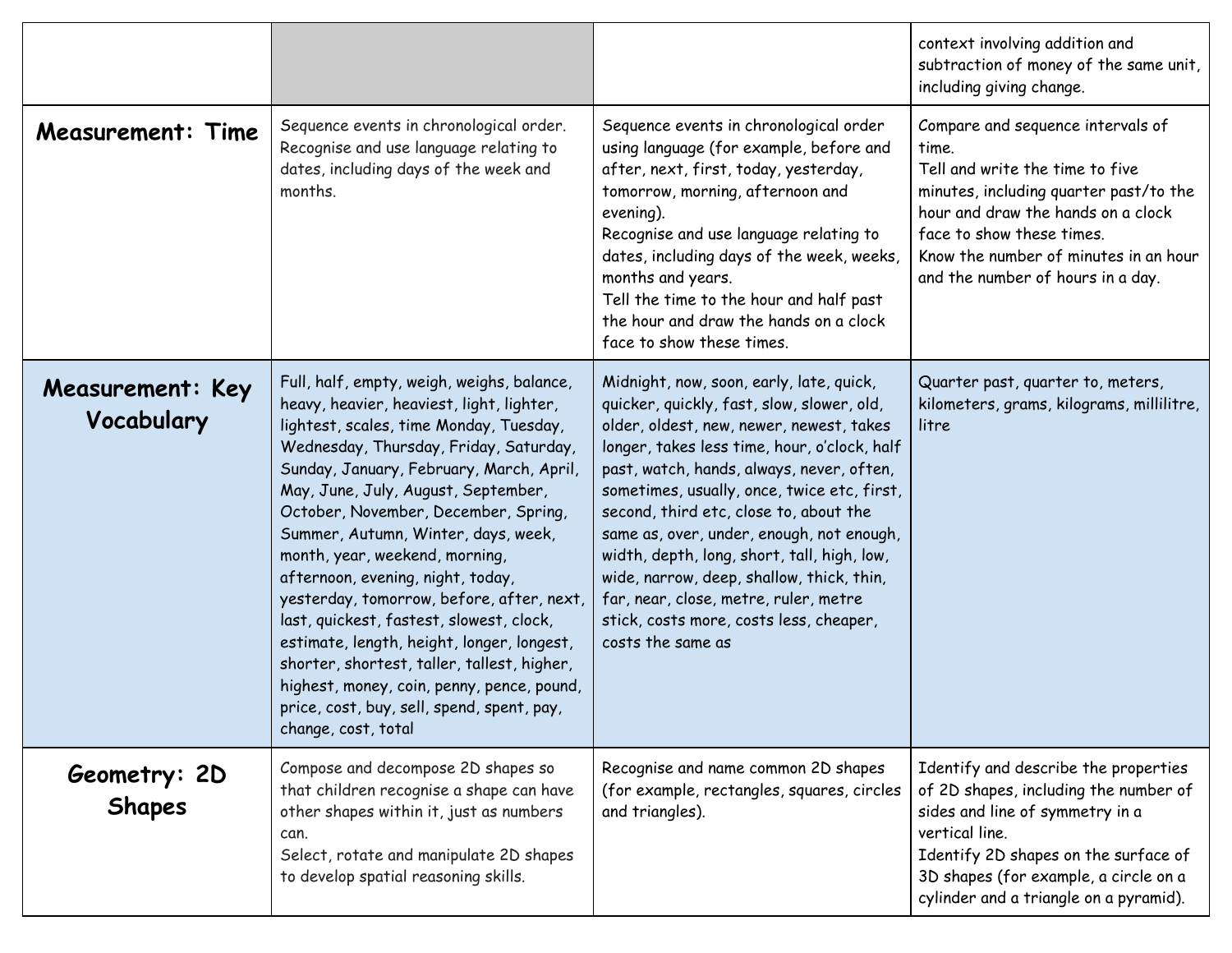|                                |                                                                                                                                                                                                                                                                                                                                                                                                                                                                                                                                                                                                                                                                                                                                |                                                                                                                                                                                                                                                                                                                                                                                                                                                                                                                                                                            | context involving addition and<br>subtraction of money of the same unit,<br>including giving change.                                                                                                                                                                     |
|--------------------------------|--------------------------------------------------------------------------------------------------------------------------------------------------------------------------------------------------------------------------------------------------------------------------------------------------------------------------------------------------------------------------------------------------------------------------------------------------------------------------------------------------------------------------------------------------------------------------------------------------------------------------------------------------------------------------------------------------------------------------------|----------------------------------------------------------------------------------------------------------------------------------------------------------------------------------------------------------------------------------------------------------------------------------------------------------------------------------------------------------------------------------------------------------------------------------------------------------------------------------------------------------------------------------------------------------------------------|--------------------------------------------------------------------------------------------------------------------------------------------------------------------------------------------------------------------------------------------------------------------------|
| <b>Measurement: Time</b>       | Sequence events in chronological order.<br>Recognise and use language relating to<br>dates, including days of the week and<br>months.                                                                                                                                                                                                                                                                                                                                                                                                                                                                                                                                                                                          | Sequence events in chronological order<br>using language (for example, before and<br>after, next, first, today, yesterday,<br>tomorrow, morning, afternoon and<br>evening).<br>Recognise and use language relating to<br>dates, including days of the week, weeks,<br>months and years.<br>Tell the time to the hour and half past<br>the hour and draw the hands on a clock<br>face to show these times.                                                                                                                                                                  | Compare and sequence intervals of<br>time.<br>Tell and write the time to five<br>minutes, including quarter past/to the<br>hour and draw the hands on a clock<br>face to show these times.<br>Know the number of minutes in an hour<br>and the number of hours in a day. |
| Measurement: Key<br>Vocabulary | Full, half, empty, weigh, weighs, balance,<br>heavy, heavier, heaviest, light, lighter,<br>lightest, scales, time Monday, Tuesday,<br>Wednesday, Thursday, Friday, Saturday,<br>Sunday, January, February, March, April,<br>May, June, July, August, September,<br>October, November, December, Spring,<br>Summer, Autumn, Winter, days, week,<br>month, year, weekend, morning,<br>afternoon, evening, night, today,<br>yesterday, tomorrow, before, after, next,<br>last, quickest, fastest, slowest, clock,<br>estimate, length, height, longer, longest,<br>shorter, shortest, taller, tallest, higher,<br>highest, money, coin, penny, pence, pound,<br>price, cost, buy, sell, spend, spent, pay,<br>change, cost, total | Midnight, now, soon, early, late, quick,<br>quicker, quickly, fast, slow, slower, old,<br>older, oldest, new, newer, newest, takes<br>longer, takes less time, hour, o'clock, half<br>past, watch, hands, always, never, often,<br>sometimes, usually, once, twice etc, first,<br>second, third etc, close to, about the<br>same as, over, under, enough, not enough,<br>width, depth, long, short, tall, high, low,<br>wide, narrow, deep, shallow, thick, thin,<br>far, near, close, metre, ruler, metre<br>stick, costs more, costs less, cheaper,<br>costs the same as | Quarter past, quarter to, meters,<br>kilometers, grams, kilograms, millilitre,<br>litre                                                                                                                                                                                  |
| Geometry: 2D<br><b>Shapes</b>  | Compose and decompose 2D shapes so<br>that children recognise a shape can have<br>other shapes within it, just as numbers<br>can.<br>Select, rotate and manipulate 2D shapes<br>to develop spatial reasoning skills.                                                                                                                                                                                                                                                                                                                                                                                                                                                                                                           | Recognise and name common 2D shapes<br>(for example, rectangles, squares, circles<br>and triangles).                                                                                                                                                                                                                                                                                                                                                                                                                                                                       | Identify and describe the properties<br>of 2D shapes, including the number of<br>sides and line of symmetry in a<br>vertical line.<br>Identify 2D shapes on the surface of<br>3D shapes (for example, a circle on a<br>cylinder and a triangle on a pyramid).            |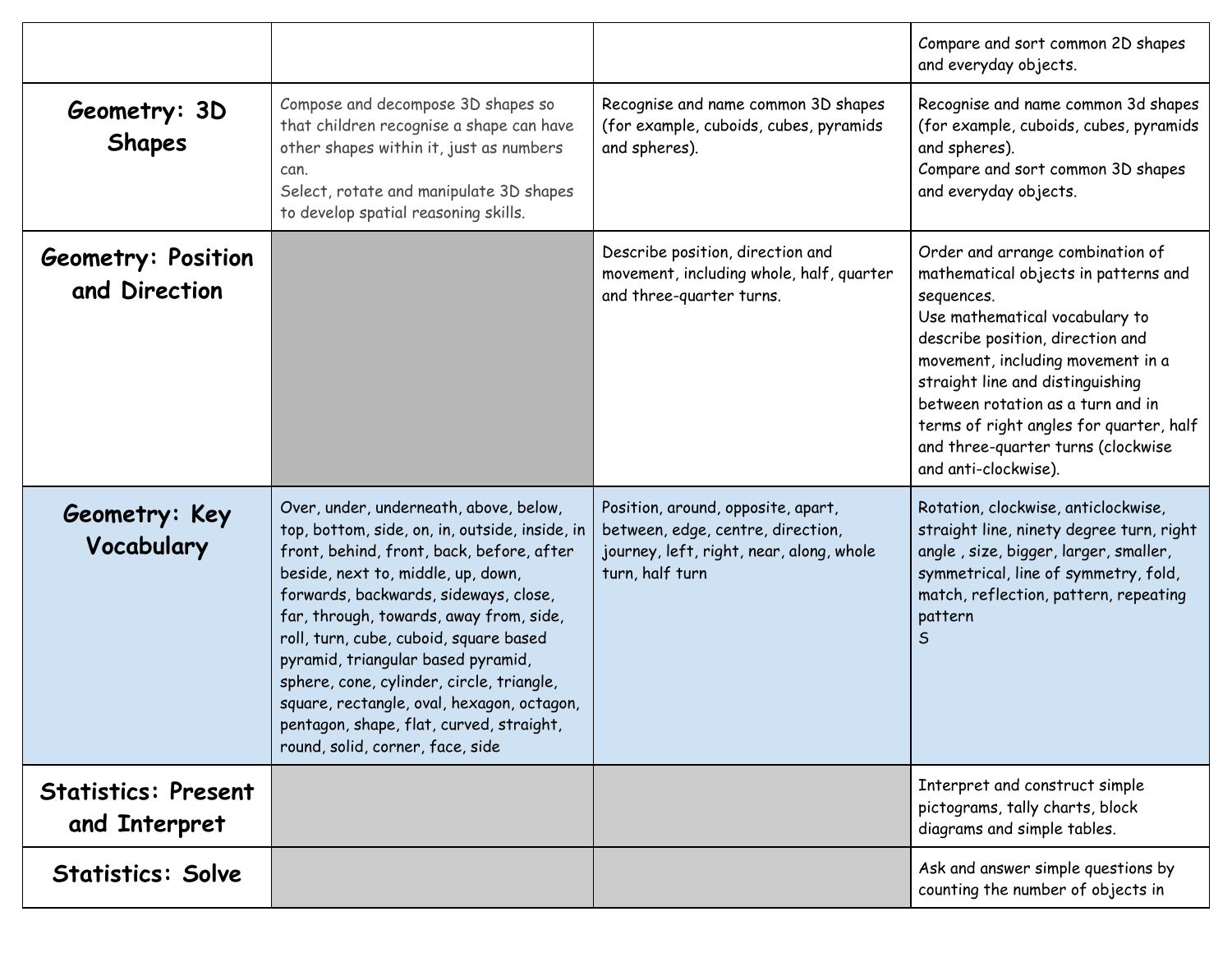|                                             |                                                                                                                                                                                                                                                                                                                                                                                                                                                                                                                            |                                                                                                                                        | Compare and sort common 2D shapes<br>and everyday objects.                                                                                                                                                                                                                                                                                                                          |
|---------------------------------------------|----------------------------------------------------------------------------------------------------------------------------------------------------------------------------------------------------------------------------------------------------------------------------------------------------------------------------------------------------------------------------------------------------------------------------------------------------------------------------------------------------------------------------|----------------------------------------------------------------------------------------------------------------------------------------|-------------------------------------------------------------------------------------------------------------------------------------------------------------------------------------------------------------------------------------------------------------------------------------------------------------------------------------------------------------------------------------|
| Geometry: 3D<br><b>Shapes</b>               | Compose and decompose 3D shapes so<br>that children recognise a shape can have<br>other shapes within it, just as numbers<br>can.<br>Select, rotate and manipulate 3D shapes<br>to develop spatial reasoning skills.                                                                                                                                                                                                                                                                                                       | Recognise and name common 3D shapes<br>(for example, cuboids, cubes, pyramids<br>and spheres).                                         | Recognise and name common 3d shapes<br>(for example, cuboids, cubes, pyramids<br>and spheres).<br>Compare and sort common 3D shapes<br>and everyday objects.                                                                                                                                                                                                                        |
| <b>Geometry: Position</b><br>and Direction  |                                                                                                                                                                                                                                                                                                                                                                                                                                                                                                                            | Describe position, direction and<br>movement, including whole, half, quarter<br>and three-quarter turns.                               | Order and arrange combination of<br>mathematical objects in patterns and<br>sequences.<br>Use mathematical vocabulary to<br>describe position, direction and<br>movement, including movement in a<br>straight line and distinguishing<br>between rotation as a turn and in<br>terms of right angles for quarter, half<br>and three-quarter turns (clockwise<br>and anti-clockwise). |
| Geometry: Key<br>Vocabulary                 | Over, under, underneath, above, below,<br>top, bottom, side, on, in, outside, inside, in<br>front, behind, front, back, before, after<br>beside, next to, middle, up, down,<br>forwards, backwards, sideways, close,<br>far, through, towards, away from, side,<br>roll, turn, cube, cuboid, square based<br>pyramid, triangular based pyramid,<br>sphere, cone, cylinder, circle, triangle,<br>square, rectangle, oval, hexagon, octagon,<br>pentagon, shape, flat, curved, straight,<br>round, solid, corner, face, side | Position, around, opposite, apart,<br>between, edge, centre, direction,<br>journey, left, right, near, along, whole<br>turn, half turn | Rotation, clockwise, anticlockwise,<br>straight line, ninety degree turn, right<br>angle, size, bigger, larger, smaller,<br>symmetrical, line of symmetry, fold,<br>match, reflection, pattern, repeating<br>pattern<br>.S                                                                                                                                                          |
| <b>Statistics: Present</b><br>and Interpret |                                                                                                                                                                                                                                                                                                                                                                                                                                                                                                                            |                                                                                                                                        | Interpret and construct simple<br>pictograms, tally charts, block<br>diagrams and simple tables.                                                                                                                                                                                                                                                                                    |
| <b>Statistics: Solve</b>                    |                                                                                                                                                                                                                                                                                                                                                                                                                                                                                                                            |                                                                                                                                        | Ask and answer simple questions by<br>counting the number of objects in                                                                                                                                                                                                                                                                                                             |